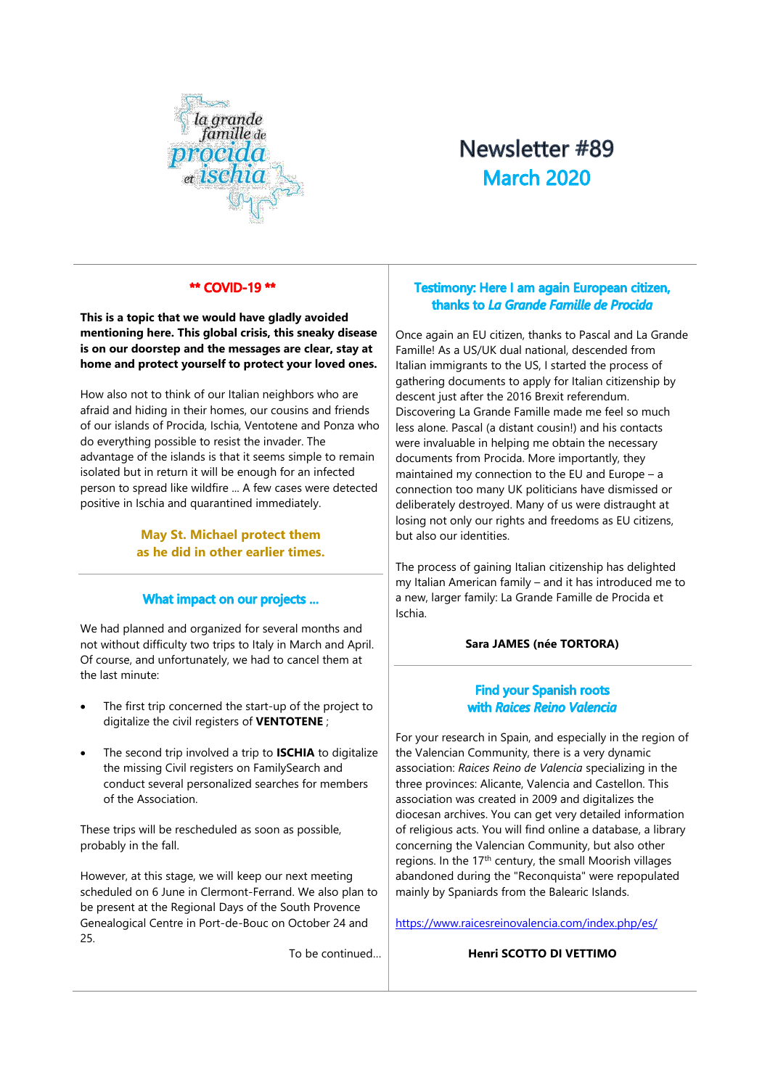

# Newsletter #89 **March 2020**

# \*\* COVID-19 \*\*

**This is a topic that we would have gladly avoided mentioning here. This global crisis, this sneaky disease is on our doorstep and the messages are clear, stay at home and protect yourself to protect your loved ones.**

How also not to think of our Italian neighbors who are afraid and hiding in their homes, our cousins and friends of our islands of Procida, Ischia, Ventotene and Ponza who do everything possible to resist the invader. The advantage of the islands is that it seems simple to remain isolated but in return it will be enough for an infected person to spread like wildfire ... A few cases were detected positive in Ischia and quarantined immediately.

> **May St. Michael protect them as he did in other earlier times.**

#### What impact on our projects ...

We had planned and organized for several months and not without difficulty two trips to Italy in March and April. Of course, and unfortunately, we had to cancel them at the last minute:

- The first trip concerned the start-up of the project to digitalize the civil registers of **VENTOTENE** ;
- The second trip involved a trip to **ISCHIA** to digitalize the missing Civil registers on FamilySearch and conduct several personalized searches for members of the Association.

These trips will be rescheduled as soon as possible, probably in the fall.

However, at this stage, we will keep our next meeting scheduled on 6 June in Clermont-Ferrand. We also plan to be present at the Regional Days of the South Provence Genealogical Centre in Port-de-Bouc on October 24 and 25.

To be continued…

# Testimony: Here I am again European citizen, thanks to La Grande Famille de Procida

Once again an EU citizen, thanks to Pascal and La Grande Famille! As a US/UK dual national, descended from Italian immigrants to the US, I started the process of gathering documents to apply for Italian citizenship by descent just after the 2016 Brexit referendum. Discovering La Grande Famille made me feel so much less alone. Pascal (a distant cousin!) and his contacts were invaluable in helping me obtain the necessary documents from Procida. More importantly, they maintained my connection to the EU and Europe – a connection too many UK politicians have dismissed or deliberately destroyed. Many of us were distraught at losing not only our rights and freedoms as EU citizens, but also our identities.

The process of gaining Italian citizenship has delighted my Italian American family – and it has introduced me to a new, larger family: La Grande Famille de Procida et Ischia.

#### **Sara JAMES (née TORTORA)**

# **Find your Spanish roots** with Raices Reino Valencia

For your research in Spain, and especially in the region of the Valencian Community, there is a very dynamic association: *Raices Reino de Valencia* specializing in the three provinces: Alicante, Valencia and Castellon. This association was created in 2009 and digitalizes the diocesan archives. You can get very detailed information of religious acts. You will find online a database, a library concerning the Valencian Community, but also other regions. In the 17<sup>th</sup> century, the small Moorish villages abandoned during the "Reconquista" were repopulated mainly by Spaniards from the Balearic Islands.

<https://www.raicesreinovalencia.com/index.php/es/>

#### **Henri SCOTTO DI VETTIMO**